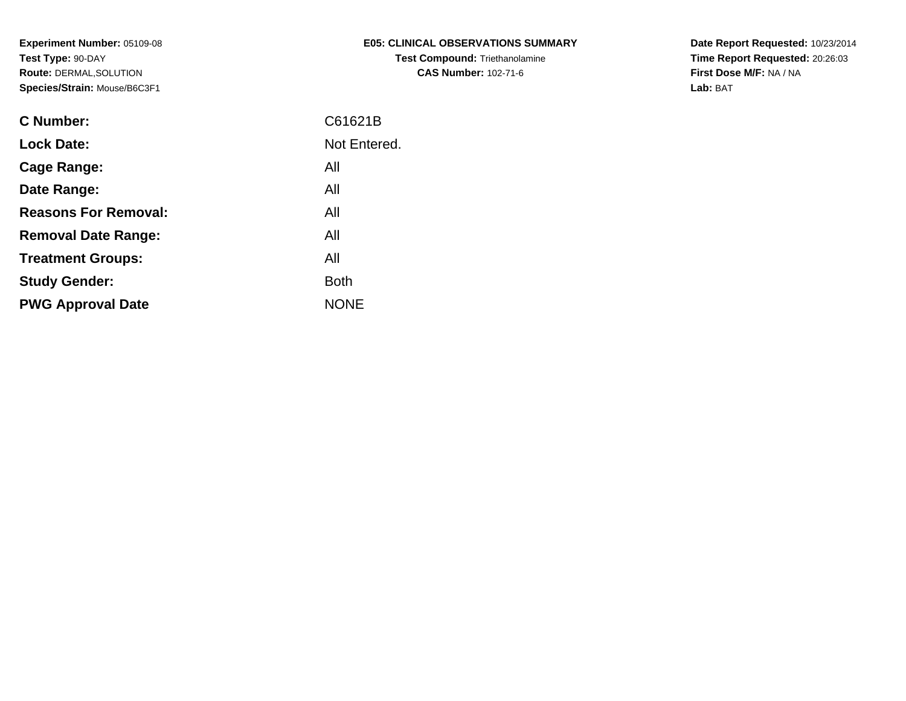| <b>E05: CLINICAL OBSERVATIONS SUMMARY</b> |
|-------------------------------------------|
| <b>Test Compound: Triethanolamine</b>     |
| <b>CAS Number: 102-71-6</b>               |

**Date Report Requested:** 10/23/2014 **Time Report Requested:** 20:26:03**First Dose M/F:** NA / NA**Lab:** BAT

| C Number:                   | C61621B      |
|-----------------------------|--------------|
| <b>Lock Date:</b>           | Not Entered. |
| <b>Cage Range:</b>          | All          |
| Date Range:                 | All          |
| <b>Reasons For Removal:</b> | All          |
| <b>Removal Date Range:</b>  | All          |
| <b>Treatment Groups:</b>    | All          |
| <b>Study Gender:</b>        | <b>Both</b>  |
| <b>PWG Approval Date</b>    | <b>NONE</b>  |
|                             |              |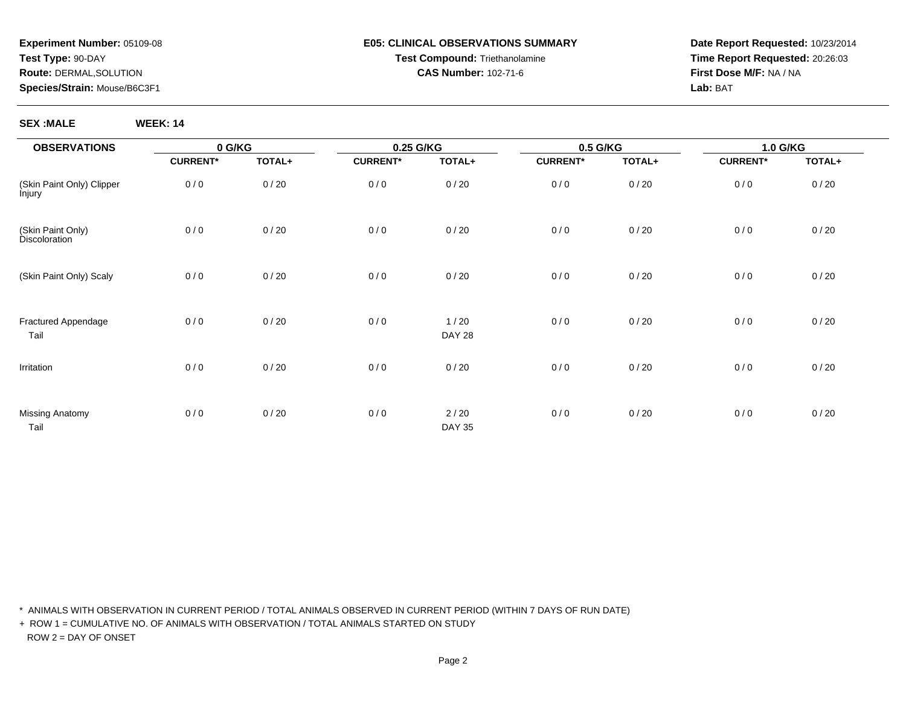#### **E05: CLINICAL OBSERVATIONS SUMMARYTest Compound:** Triethanolamine**CAS Number:** 102-71-6

**Date Report Requested:** 10/23/2014**Time Report Requested:** 20:26:03**First Dose M/F:** NA / NA**Lab:** BAT

**SEX :MALE WEEK: 14**

| <b>OBSERVATIONS</b>                 | 0 G/KG          |        | 0.25 G/KG       |                         | 0.5 G/KG        |        | 1.0 G/KG        |        |  |
|-------------------------------------|-----------------|--------|-----------------|-------------------------|-----------------|--------|-----------------|--------|--|
|                                     | <b>CURRENT*</b> | TOTAL+ | <b>CURRENT*</b> | TOTAL+                  | <b>CURRENT*</b> | TOTAL+ | <b>CURRENT*</b> | TOTAL+ |  |
| (Skin Paint Only) Clipper<br>lnjury | 0/0             | 0/20   | 0/0             | 0/20                    | 0/0             | 0/20   | 0/0             | 0/20   |  |
| (Skin Paint Only)<br>Discoloration  | 0/0             | 0/20   | 0/0             | 0/20                    | 0/0             | 0/20   | 0/0             | 0/20   |  |
| (Skin Paint Only) Scaly             | 0/0             | 0/20   | 0/0             | 0/20                    | 0/0             | 0/20   | 0/0             | 0/20   |  |
| Fractured Appendage<br>Tail         | 0/0             | 0/20   | 0/0             | 1/20<br><b>DAY 28</b>   | 0/0             | 0/20   | 0/0             | 0/20   |  |
| Irritation                          | 0/0             | 0/20   | 0/0             | 0/20                    | 0/0             | 0/20   | 0/0             | 0/20   |  |
| <b>Missing Anatomy</b><br>Tail      | 0/0             | 0/20   | 0/0             | $2/20$<br><b>DAY 35</b> | 0/0             | 0/20   | 0/0             | 0/20   |  |

\* ANIMALS WITH OBSERVATION IN CURRENT PERIOD / TOTAL ANIMALS OBSERVED IN CURRENT PERIOD (WITHIN 7 DAYS OF RUN DATE)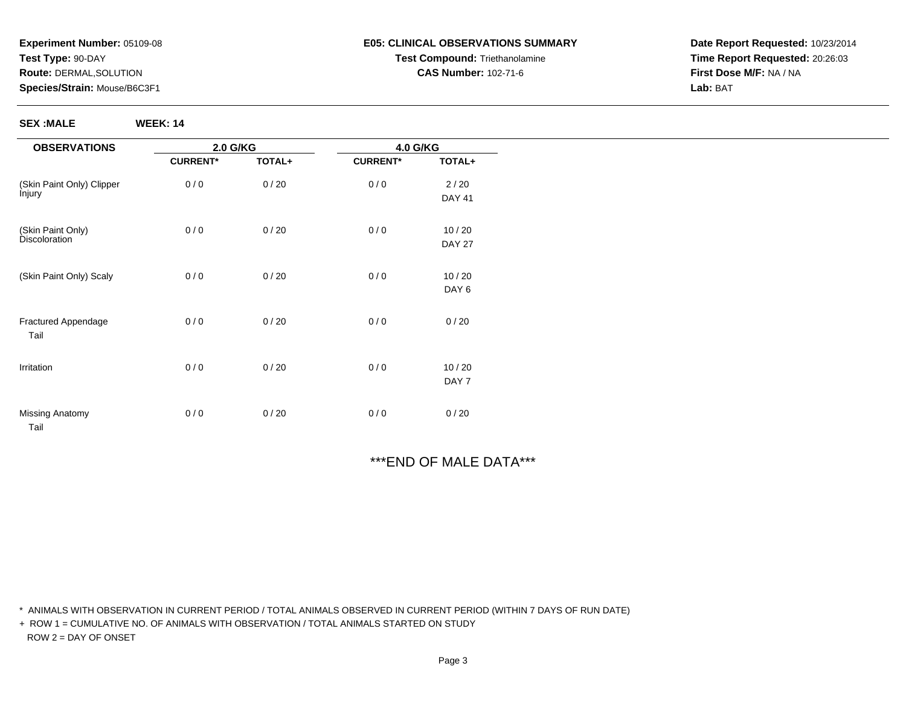**SEX :MALE WEEK: 14**

#### **E05: CLINICAL OBSERVATIONS SUMMARYTest Compound:** Triethanolamine**CAS Number:** 102-71-6

**Date Report Requested:** 10/23/2014**Time Report Requested:** 20:26:03**First Dose M/F:** NA / NA**Lab:** BAT

| <b>OBSERVATIONS</b>         |                 | 2.0 G/KG |                 | 4.0 G/KG      |  |
|-----------------------------|-----------------|----------|-----------------|---------------|--|
|                             | <b>CURRENT*</b> | TOTAL+   | <b>CURRENT*</b> | TOTAL+        |  |
| (Skin Paint Only) Clipper   | 0/0             | 0/20     | 0/0             | $2/20$        |  |
| İnjury                      |                 |          |                 | <b>DAY 41</b> |  |
| (Skin Paint Only)           | 0/0             | 0/20     | 0/0             | 10/20         |  |
| <b>Discoloration</b>        |                 |          |                 | <b>DAY 27</b> |  |
| (Skin Paint Only) Scaly     | 0/0             | 0/20     | 0/0             | 10/20         |  |
|                             |                 |          |                 | DAY 6         |  |
| Fractured Appendage<br>Tail | 0/0             | 0/20     | 0/0             | 0/20          |  |
| Irritation                  | 0/0             | 0/20     | 0/0             | 10/20         |  |
|                             |                 |          |                 | DAY 7         |  |
| Missing Anatomy<br>Tail     | 0/0             | 0/20     | 0/0             | 0/20          |  |

# \*\*\*END OF MALE DATA\*\*\*

\* ANIMALS WITH OBSERVATION IN CURRENT PERIOD / TOTAL ANIMALS OBSERVED IN CURRENT PERIOD (WITHIN 7 DAYS OF RUN DATE)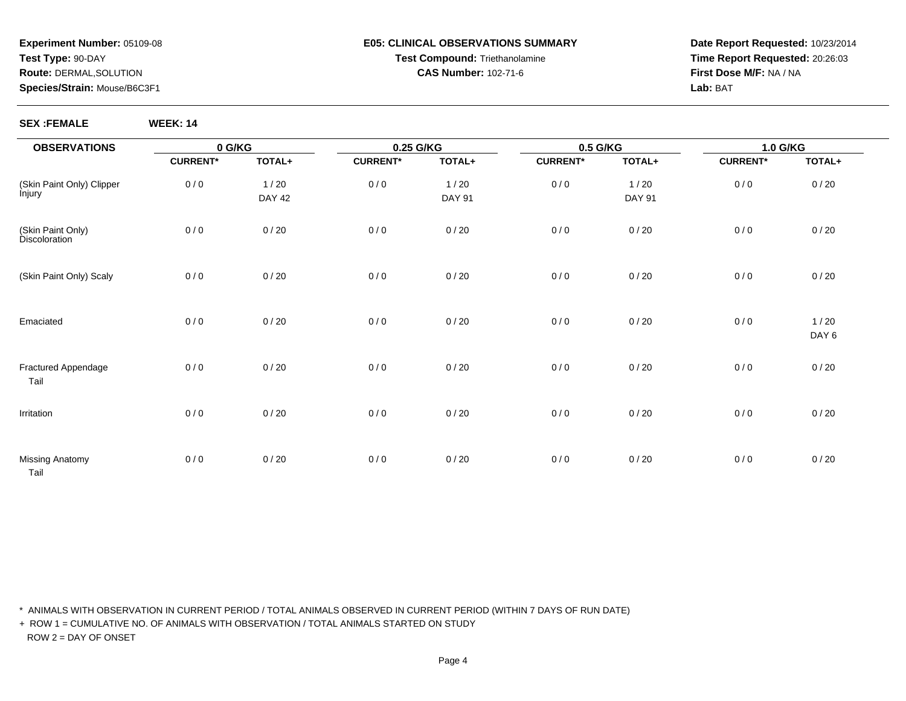#### **E05: CLINICAL OBSERVATIONS SUMMARYTest Compound:** Triethanolamine**CAS Number:** 102-71-6

**Date Report Requested:** 10/23/2014**Time Report Requested:** 20:26:03**First Dose M/F:** NA / NA**Lab:** BAT

#### **SEX :FEMALE WEEK: 14**

| <b>OBSERVATIONS</b>                            | 0 G/KG          |                       | 0.25 G/KG       |                       | 0.5 G/KG        |                       | 1.0 G/KG        |               |  |
|------------------------------------------------|-----------------|-----------------------|-----------------|-----------------------|-----------------|-----------------------|-----------------|---------------|--|
|                                                | <b>CURRENT*</b> | TOTAL+                | <b>CURRENT*</b> | TOTAL+                | <b>CURRENT*</b> | TOTAL+                | <b>CURRENT*</b> | TOTAL+        |  |
| (Skin Paint Only) Clipper<br>Ìnjury            | 0/0             | 1/20<br><b>DAY 42</b> | 0/0             | 1/20<br><b>DAY 91</b> | 0/0             | 1/20<br><b>DAY 91</b> | 0/0             | 0/20          |  |
| (Skin Paint Only)<br>Discoloration             | 0/0             | 0/20                  | 0/0             | 0/20                  | 0/0             | 0/20                  | 0/0             | 0/20          |  |
| (Skin Paint Only) Scaly                        | 0/0             | 0/20                  | 0/0             | 0/20                  | 0/0             | 0/20                  | 0/0             | 0/20          |  |
| Emaciated                                      | 0/0             | 0/20                  | 0/0             | 0/20                  | 0/0             | 0/20                  | 0/0             | 1/20<br>DAY 6 |  |
| Fractured Appendage<br>Tail                    | 0/0             | 0/20                  | 0/0             | 0/20                  | 0/0             | 0/20                  | 0/0             | 0/20          |  |
| Irritation                                     | 0/0             | 0/20                  | 0/0             | 0/20                  | 0/0             | $0/20$                | 0/0             | 0/20          |  |
| Missing Anatomy<br>$\sim$ $\sim$ $\sim$ $\sim$ | 0/0             | 0/20                  | 0/0             | 0/20                  | 0/0             | 0/20                  | 0/0             | 0/20          |  |

Tail

\* ANIMALS WITH OBSERVATION IN CURRENT PERIOD / TOTAL ANIMALS OBSERVED IN CURRENT PERIOD (WITHIN 7 DAYS OF RUN DATE)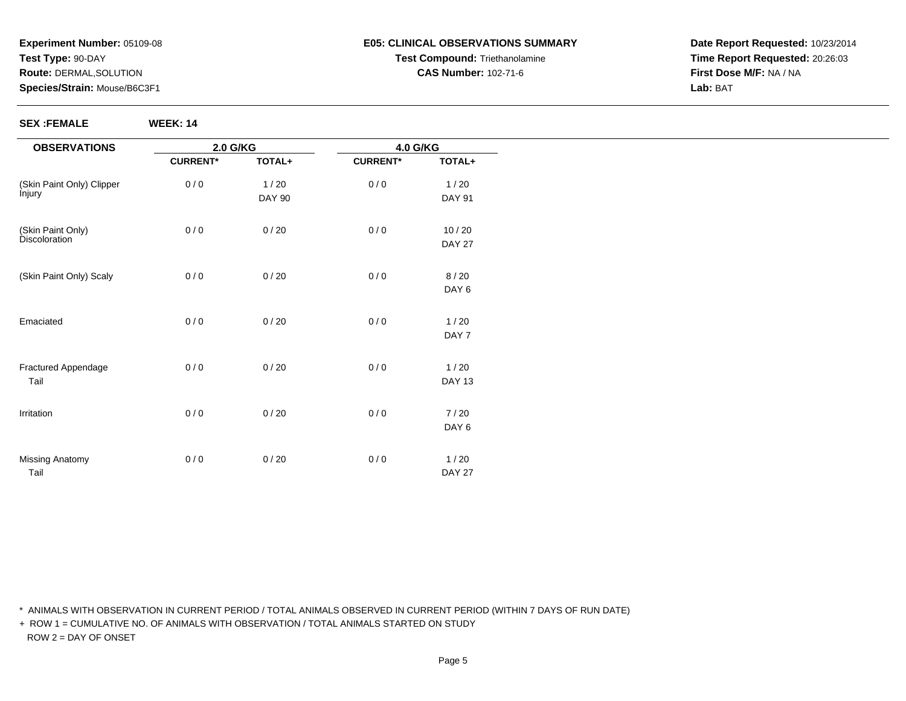**SEX :FEMALE WEEK: 14**

# **E05: CLINICAL OBSERVATIONS SUMMARYTest Compound:** Triethanolamine**CAS Number:** 102-71-6

**Date Report Requested:** 10/23/2014**Time Report Requested:** 20:26:03**First Dose M/F:** NA / NA**Lab:** BAT

| <b>OBSERVATIONS</b>                | 2.0 G/KG        |               | 4.0 G/KG        |               |
|------------------------------------|-----------------|---------------|-----------------|---------------|
|                                    | <b>CURRENT*</b> | TOTAL+        | <b>CURRENT*</b> | TOTAL+        |
| (Skin Paint Only) Clipper          | 0/0             | 1/20          | 0/0             | 1/20          |
| lnjury                             |                 | <b>DAY 90</b> |                 | <b>DAY 91</b> |
| (Skin Paint Only)<br>Discoloration | 0/0             | 0/20          | 0/0             | $10/20$       |
|                                    |                 |               |                 | <b>DAY 27</b> |
| (Skin Paint Only) Scaly            | 0/0             | 0/20          | 0/0             | 8/20          |
|                                    |                 |               |                 | DAY 6         |
| Emaciated                          | 0/0             | 0/20          | 0/0             | 1/20          |
|                                    |                 |               |                 | DAY 7         |
| Fractured Appendage                | 0/0             | 0/20          | 0/0             | 1/20          |
| Tail                               |                 |               |                 | <b>DAY 13</b> |
| Irritation                         | 0/0             | 0/20          | 0/0             | 7/20          |
|                                    |                 |               |                 | DAY 6         |
| <b>Missing Anatomy</b>             | 0/0             | 0/20          | 0/0             | 1/20          |
| Tail                               |                 |               |                 | <b>DAY 27</b> |

\* ANIMALS WITH OBSERVATION IN CURRENT PERIOD / TOTAL ANIMALS OBSERVED IN CURRENT PERIOD (WITHIN 7 DAYS OF RUN DATE)